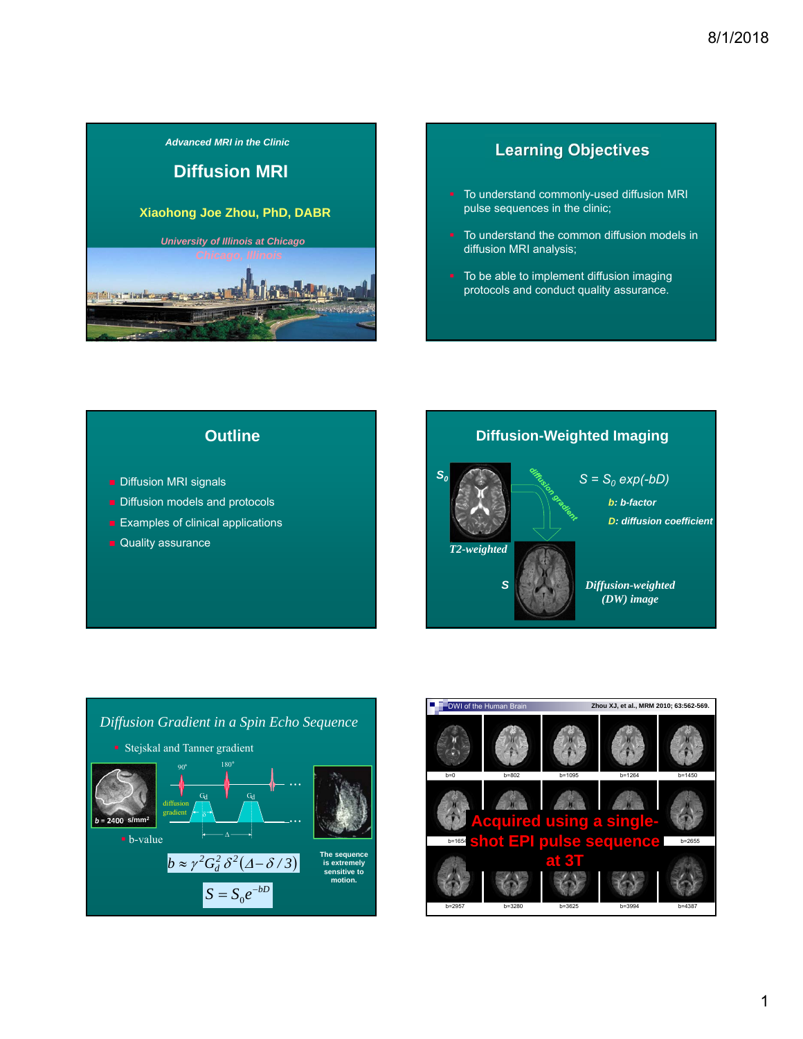

# **Learning Objectives**

- To understand commonly-used diffusion MRI pulse sequences in the clinic;
- To understand the common diffusion models in diffusion MRI analysis;
- To be able to implement diffusion imaging protocols and conduct quality assurance.



- **Diffusion MRI signals**
- Diffusion models and protocols
- **Examples of clinical applications**
- **Quality assurance**





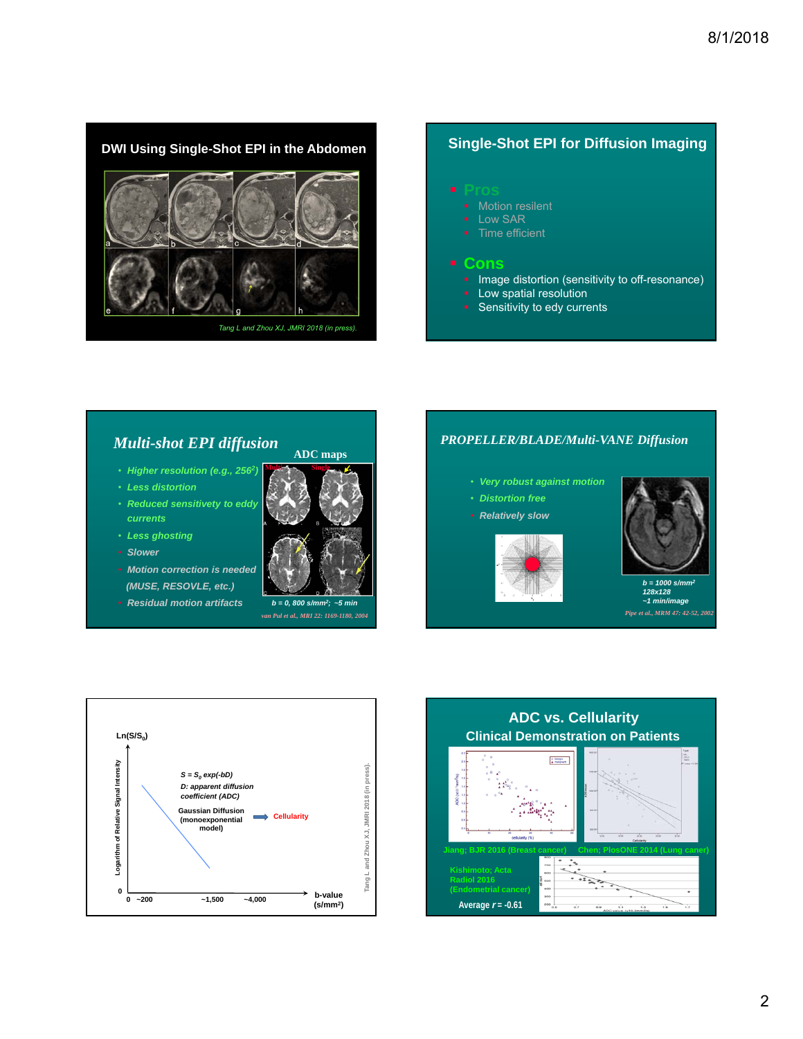

- 
- **Low SAR**
- Time efficient

### **Cons**

- **Image distortion (sensitivity to off-resonance)**
- **-** Low spatial resolution
- **Sensitivity to edy currents**

# *Multi-shot EPI diffusion*

- *Higher resolution (e.g., 2562)*
- *Less distortion*
- *Reduced sensitivety to eddy currents*
- *Less ghosting*
- *Slower*
- *Motion correction is needed (MUSE, RESOVLE, etc.)*
- *Residual motion artifacts*



**ADC maps**

*b = 0, 800 s/mm2; ~5 min*





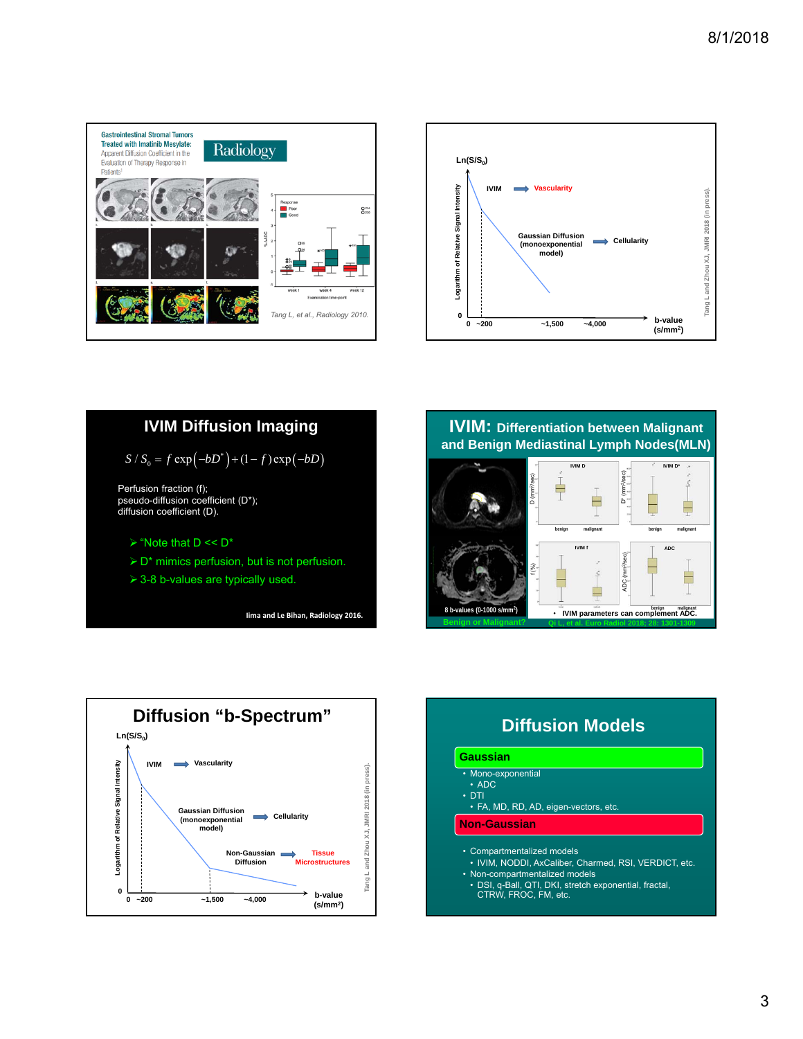





**IVIM: Differentiation between Malignant and Benign Mediastinal Lymph Nodes(MLN)**